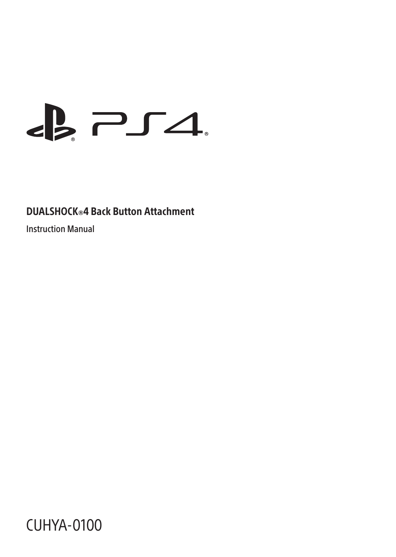# $\epsilon$   $\geq$   $\epsilon$

# DUALSHOCK®4 Back Button Attachment

Instruction Manual

CUHYA-0100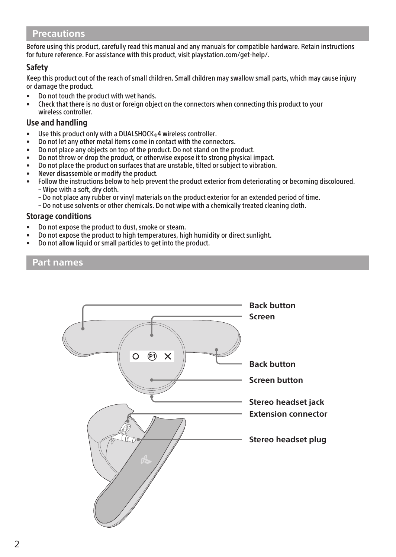### **Precautions**

Before using this product, carefully read this manual and any manuals for compatible hardware. Retain instructions for future reference. For assistance with this product, visit playstation.com/get-help/.

#### Safety

Keep this product out of the reach of small children. Small children may swallow small parts, which may cause injury or damage the product.

- Do not touch the product with wet hands.
- Check that there is no dust or foreign object on the connectors when connecting this product to your wireless controller.

#### Use and handling

- Use this product only with a DUALSHOCK®4 wireless controller.
- Do not let any other metal items come in contact with the connectors.
- Do not place any objects on top of the product. Do not stand on the product.
- Do not throw or drop the product, or otherwise expose it to strong physical impact.
- Do not place the product on surfaces that are unstable, tilted or subject to vibration.
- Never disassemble or modify the product.
- Follow the instructions below to help prevent the product exterior from deteriorating or becoming discoloured. – Wipe with a soft, dry cloth.
	- Do not place any rubber or vinyl materials on the product exterior for an extended period of time.
	- Do not use solvents or other chemicals. Do not wipe with a chemically treated cleaning cloth.

#### Storage conditions

- Do not expose the product to dust, smoke or steam.
- Do not expose the product to high temperatures, high humidity or direct sunlight.
- Do not allow liquid or small particles to get into the product.

#### **Part names**

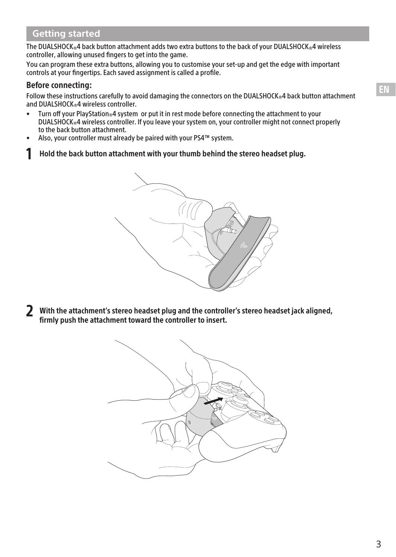## **Getting started**

The DUALSHOCK®4 back button attachment adds two extra buttons to the back of your DUALSHOCK®4 wireless controller, allowing unused fingers to get into the game.

You can program these extra buttons, allowing you to customise your set-up and get the edge with important controls at your fingertips. Each saved assignment is called a profile.

#### Before connecting:

Follow these instructions carefully to avoid damaging the connectors on the DUALSHOCK®4 back button attachment and DUALSHOCK®4 wireless controller.<br>• Turn off your PlayStation®4 system

- Turn off your PlayStation®4 system or put it in rest mode before connecting the attachment to your DUALSHOCK®4 wireless controller. If you leave your system on, your controller might not connect properly to the back button attachment.
- Also, your controller must already be paired with your PS4™ system.
- 1 Hold the back button attachment with your thumb behind the stereo headset plug.



2 With the attachment's stereo headset plug and the controller's stereo headset jack aligned, firmly push the attachment toward the controller to insert.

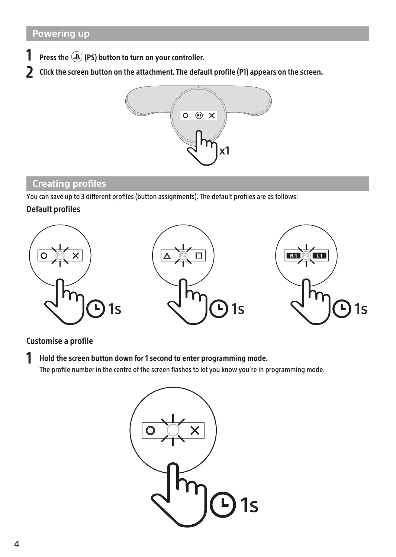- Press the  $\circledast$  (PS) button to turn on your controller.
- 2 Click the screen button on the attachment. The default profile (P1) appears on the screen.



## **Creating profiles**

You can save up to 3 different profiles (button assignments). The default profiles are as follows:

#### Default profiles



#### Customise a profile

1 Hold the screen button down for 1 second to enter programming mode. The profile number in the centre of the screen flashes to let you know you're in programming mode.

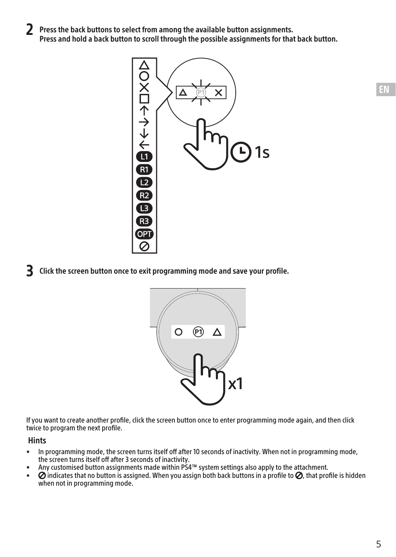2 Press the back buttons to select from among the available button assignments. Press and hold a back button to scroll through the possible assignments for that back button.



3 Click the screen button once to exit programming mode and save your profile.



If you want to create another profile, click the screen button once to enter programming mode again, and then click twice to program the next profile.

#### Hints

- In programming mode, the screen turns itself off after 10 seconds of inactivity. When not in programming mode, the screen turns itself off after 3 seconds of inactivity.
- Any customised button assignments made within PS4™ system settings also apply to the attachment.<br>•  $\Omega$  indicates that no button is assigned. When you assign both back buttons in a profile to  $\Omega$ , that pro
- $\oslash$  indicates that no button is assigned. When you assign both back buttons in a profile to  $\oslash$ , that profile is hidden when not in programming mode.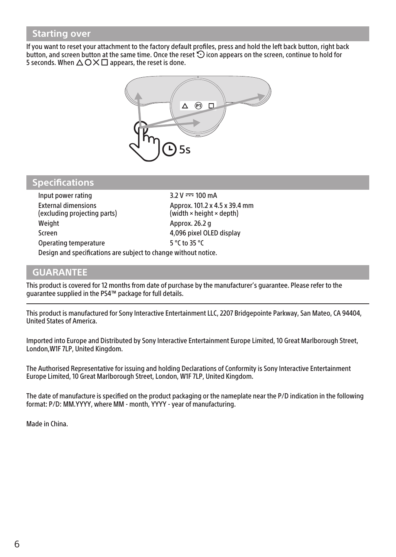## **Starting over**

If you want to reset your attachment to the factory default profiles, press and hold the left back button, right back button, and screen button at the same time. Once the reset  $\odot$  icon appears on the screen, continue to hold for 5 seconds. When  $\Delta$   $\bigcirc$   $\times$   $\Box$  appears, the reset is done.



## **Specifications**

| Input power rating                                              | $3.2 V = 100 mA$                                                        |
|-----------------------------------------------------------------|-------------------------------------------------------------------------|
| <b>External dimensions</b><br>(excluding projecting parts)      | Approx. 101.2 x 4.5 x 39.4 mm<br>(width $\times$ height $\times$ depth) |
| Weight                                                          | Approx. 26.2 g                                                          |
| Screen                                                          | 4.096 pixel OLED display                                                |
| Operating temperature                                           | 5 °C to 35 °C                                                           |
| Design and specifications are subject to change without notice. |                                                                         |

# **GUARANTEE**

This product is covered for 12 months from date of purchase by the manufacturer's guarantee. Please refer to the guarantee supplied in the PS4™ package for full details.

This product is manufactured for Sony Interactive Entertainment LLC, 2207 Bridgepointe Parkway, San Mateo, CA 94404, United States of America.

Imported into Europe and Distributed by Sony Interactive Entertainment Europe Limited, 10 Great Marlborough Street, London,W1F 7LP, United Kingdom.

The Authorised Representative for issuing and holding Declarations of Conformity is Sony Interactive Entertainment Europe Limited, 10 Great Marlborough Street, London, W1F 7LP, United Kingdom.

The date of manufacture is specified on the product packaging or the nameplate near the P/D indication in the following format: P/D: MM.YYYY, where MM - month, YYYY - year of manufacturing.

Made in China.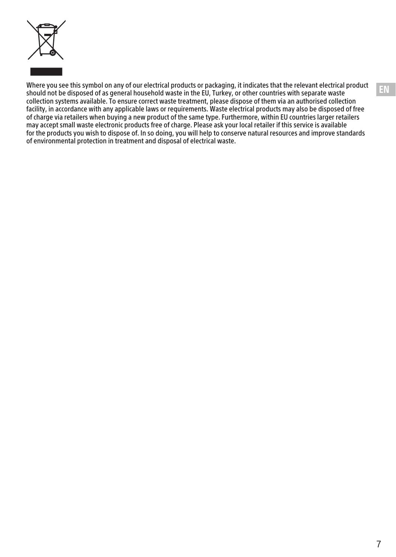

Where you see this symbol on any of our electrical products or packaging, it indicates that the relevant electrical product should not be disposed of as general household waste in the EU, Turkey, or other countries with separate waste collection systems available. To ensure correct waste treatment, please dispose of them via an authorised collection facility, in accordance with any applicable laws or requirements. Waste electrical products may also be disposed of free of charge via retailers when buying a new product of the same type. Furthermore, within EU countries larger retailers may accept small waste electronic products free of charge. Please ask your local retailer if this service is available for the products you wish to dispose of. In so doing, you will help to conserve natural resources and improve standards of environmental protection in treatment and disposal of electrical waste.